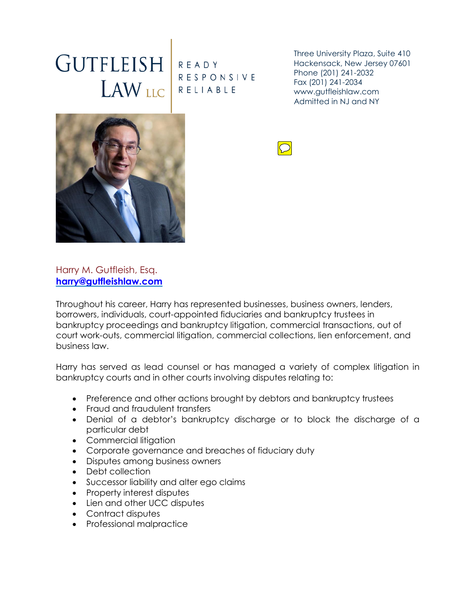## GUTFLEISH READY LAW LLC RELIABLE

RESPONSIVE

Three University Plaza, Suite 410 Hackensack, New Jersey 07601 Phone (201) 241-2032 Fax (201) 241-2034 www.gutfleishlaw.com Admitted in NJ and NY



## Harry M. Gutfleish, Esq. **[harry@gutfleishlaw.com](mailto:harry@gutfleishlaw.com)**

Throughout his career, Harry has represented businesses, business owners, lenders, borrowers, individuals, court-appointed fiduciaries and bankruptcy trustees in bankruptcy proceedings and bankruptcy litigation, commercial transactions, out of court work-outs, commercial litigation, commercial collections, lien enforcement, and business law.

Harry has served as lead counsel or has managed a variety of complex litigation in bankruptcy courts and in other courts involving disputes relating to:

- Preference and other actions brought by debtors and bankruptcy trustees
- Fraud and fraudulent transfers
- Denial of a debtor's bankruptcy discharge or to block the discharge of a particular debt
- Commercial litigation
- Corporate governance and breaches of fiduciary duty
- Disputes among business owners
- Debt collection
- Successor liability and alter ego claims
- Property interest disputes
- Lien and other UCC disputes
- Contract disputes
- Professional malpractice